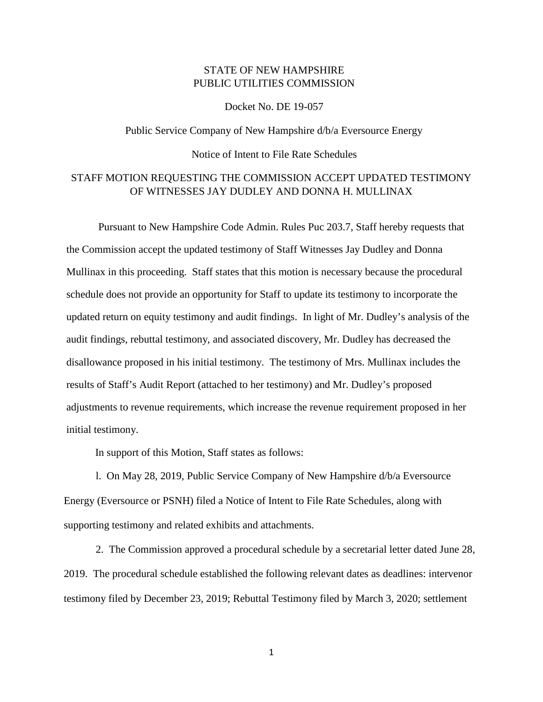## STATE OF NEW HAMPSHIRE PUBLIC UTILITIES COMMISSION

Docket No. DE 19-057

## Public Service Company of New Hampshire d/b/a Eversource Energy Notice of Intent to File Rate Schedules

## STAFF MOTION REQUESTING THE COMMISSION ACCEPT UPDATED TESTIMONY OF WITNESSES JAY DUDLEY AND DONNA H. MULLINAX

Pursuant to New Hampshire Code Admin. Rules Puc 203.7, Staff hereby requests that the Commission accept the updated testimony of Staff Witnesses Jay Dudley and Donna Mullinax in this proceeding. Staff states that this motion is necessary because the procedural schedule does not provide an opportunity for Staff to update its testimony to incorporate the updated return on equity testimony and audit findings. In light of Mr. Dudley's analysis of the audit findings, rebuttal testimony, and associated discovery, Mr. Dudley has decreased the disallowance proposed in his initial testimony. The testimony of Mrs. Mullinax includes the results of Staff's Audit Report (attached to her testimony) and Mr. Dudley's proposed adjustments to revenue requirements, which increase the revenue requirement proposed in her initial testimony.

In support of this Motion, Staff states as follows:

l. On May 28, 2019, Public Service Company of New Hampshire d/b/a Eversource Energy (Eversource or PSNH) filed a Notice of Intent to File Rate Schedules, along with supporting testimony and related exhibits and attachments.

2. The Commission approved a procedural schedule by a secretarial letter dated June 28, 2019. The procedural schedule established the following relevant dates as deadlines: intervenor testimony filed by December 23, 2019; Rebuttal Testimony filed by March 3, 2020; settlement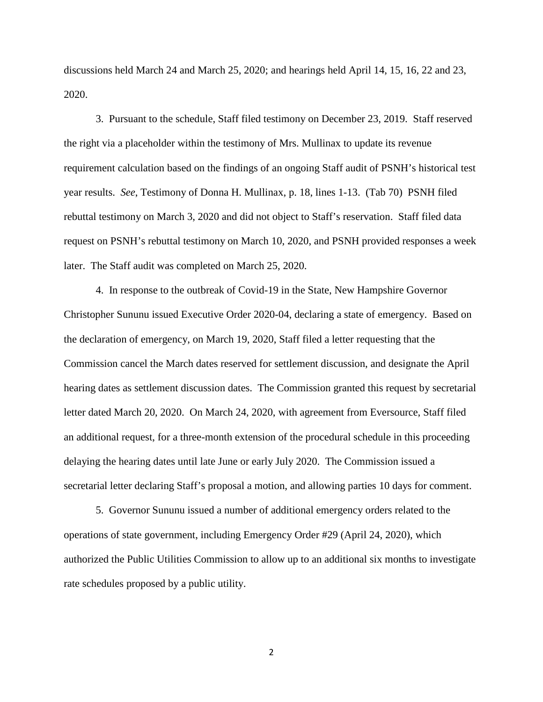discussions held March 24 and March 25, 2020; and hearings held April 14, 15, 16, 22 and 23, 2020.

3. Pursuant to the schedule, Staff filed testimony on December 23, 2019. Staff reserved the right via a placeholder within the testimony of Mrs. Mullinax to update its revenue requirement calculation based on the findings of an ongoing Staff audit of PSNH's historical test year results. *See*, Testimony of Donna H. Mullinax, p. 18, lines 1-13. (Tab 70) PSNH filed rebuttal testimony on March 3, 2020 and did not object to Staff's reservation. Staff filed data request on PSNH's rebuttal testimony on March 10, 2020, and PSNH provided responses a week later. The Staff audit was completed on March 25, 2020.

4. In response to the outbreak of Covid-19 in the State, New Hampshire Governor Christopher Sununu issued Executive Order 2020-04, declaring a state of emergency. Based on the declaration of emergency, on March 19, 2020, Staff filed a letter requesting that the Commission cancel the March dates reserved for settlement discussion, and designate the April hearing dates as settlement discussion dates. The Commission granted this request by secretarial letter dated March 20, 2020. On March 24, 2020, with agreement from Eversource, Staff filed an additional request, for a three-month extension of the procedural schedule in this proceeding delaying the hearing dates until late June or early July 2020. The Commission issued a secretarial letter declaring Staff's proposal a motion, and allowing parties 10 days for comment.

5. Governor Sununu issued a number of additional emergency orders related to the operations of state government, including Emergency Order #29 (April 24, 2020), which authorized the Public Utilities Commission to allow up to an additional six months to investigate rate schedules proposed by a public utility.

2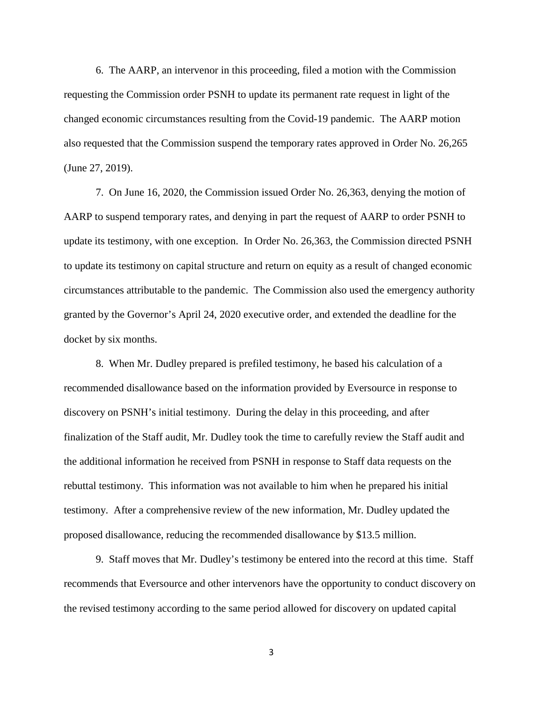6. The AARP, an intervenor in this proceeding, filed a motion with the Commission requesting the Commission order PSNH to update its permanent rate request in light of the changed economic circumstances resulting from the Covid-19 pandemic. The AARP motion also requested that the Commission suspend the temporary rates approved in Order No. 26,265 (June 27, 2019).

7. On June 16, 2020, the Commission issued Order No. 26,363, denying the motion of AARP to suspend temporary rates, and denying in part the request of AARP to order PSNH to update its testimony, with one exception. In Order No. 26,363, the Commission directed PSNH to update its testimony on capital structure and return on equity as a result of changed economic circumstances attributable to the pandemic. The Commission also used the emergency authority granted by the Governor's April 24, 2020 executive order, and extended the deadline for the docket by six months.

8. When Mr. Dudley prepared is prefiled testimony, he based his calculation of a recommended disallowance based on the information provided by Eversource in response to discovery on PSNH's initial testimony. During the delay in this proceeding, and after finalization of the Staff audit, Mr. Dudley took the time to carefully review the Staff audit and the additional information he received from PSNH in response to Staff data requests on the rebuttal testimony. This information was not available to him when he prepared his initial testimony. After a comprehensive review of the new information, Mr. Dudley updated the proposed disallowance, reducing the recommended disallowance by \$13.5 million.

9. Staff moves that Mr. Dudley's testimony be entered into the record at this time. Staff recommends that Eversource and other intervenors have the opportunity to conduct discovery on the revised testimony according to the same period allowed for discovery on updated capital

3